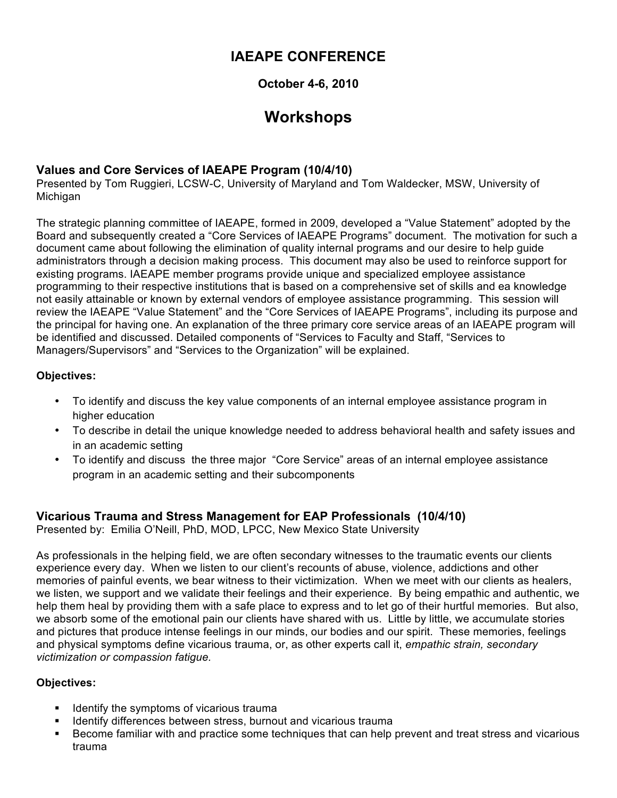# **IAEAPE CONFERENCE**

#### **October 4-6, 2010**

# **Workshops**

# **Values and Core Services of IAEAPE Program (10/4/10)**

Presented by Tom Ruggieri, LCSW-C, University of Maryland and Tom Waldecker, MSW, University of **Michigan** 

The strategic planning committee of IAEAPE, formed in 2009, developed a "Value Statement" adopted by the Board and subsequently created a "Core Services of IAEAPE Programs" document. The motivation for such a document came about following the elimination of quality internal programs and our desire to help guide administrators through a decision making process. This document may also be used to reinforce support for existing programs. IAEAPE member programs provide unique and specialized employee assistance programming to their respective institutions that is based on a comprehensive set of skills and ea knowledge not easily attainable or known by external vendors of employee assistance programming. This session will review the IAEAPE "Value Statement" and the "Core Services of IAEAPE Programs", including its purpose and the principal for having one. An explanation of the three primary core service areas of an IAEAPE program will be identified and discussed. Detailed components of "Services to Faculty and Staff, "Services to Managers/Supervisors" and "Services to the Organization" will be explained.

#### **Objectives:**

- To identify and discuss the key value components of an internal employee assistance program in higher education
- To describe in detail the unique knowledge needed to address behavioral health and safety issues and in an academic setting
- To identify and discuss the three major "Core Service" areas of an internal employee assistance program in an academic setting and their subcomponents

#### **Vicarious Trauma and Stress Management for EAP Professionals (10/4/10)**

Presented by: Emilia O'Neill, PhD, MOD, LPCC, New Mexico State University

As professionals in the helping field, we are often secondary witnesses to the traumatic events our clients experience every day. When we listen to our client's recounts of abuse, violence, addictions and other memories of painful events, we bear witness to their victimization. When we meet with our clients as healers, we listen, we support and we validate their feelings and their experience. By being empathic and authentic, we help them heal by providing them with a safe place to express and to let go of their hurtful memories. But also, we absorb some of the emotional pain our clients have shared with us. Little by little, we accumulate stories and pictures that produce intense feelings in our minds, our bodies and our spirit. These memories, feelings and physical symptoms define vicarious trauma, or, as other experts call it, *empathic strain, secondary victimization or compassion fatigue.*

#### **Objectives:**

- Identify the symptoms of vicarious trauma
- Identify differences between stress, burnout and vicarious trauma
- Become familiar with and practice some techniques that can help prevent and treat stress and vicarious trauma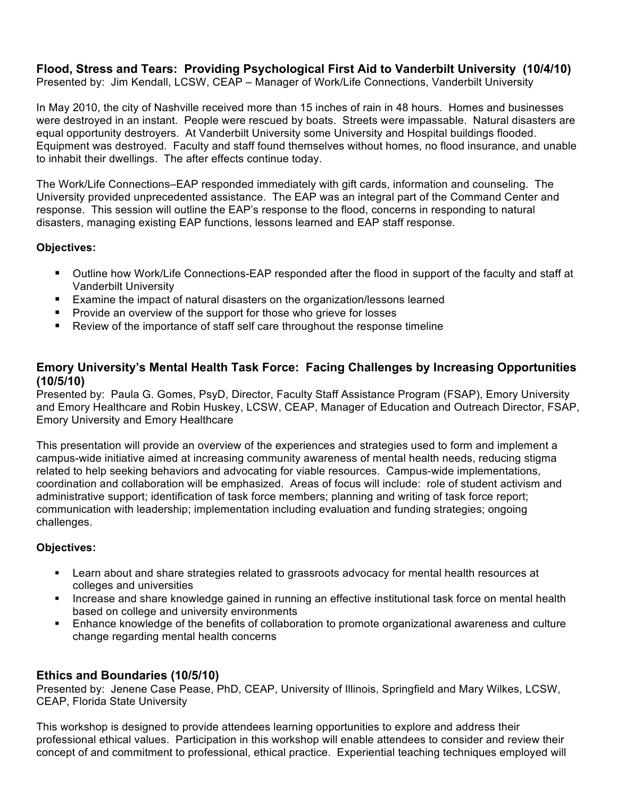#### **Flood, Stress and Tears: Providing Psychological First Aid to Vanderbilt University (10/4/10)** Presented by: Jim Kendall, LCSW, CEAP – Manager of Work/Life Connections, Vanderbilt University

In May 2010, the city of Nashville received more than 15 inches of rain in 48 hours. Homes and businesses were destroyed in an instant. People were rescued by boats. Streets were impassable. Natural disasters are equal opportunity destroyers. At Vanderbilt University some University and Hospital buildings flooded. Equipment was destroyed. Faculty and staff found themselves without homes, no flood insurance, and unable to inhabit their dwellings. The after effects continue today.

The Work/Life Connections–EAP responded immediately with gift cards, information and counseling. The University provided unprecedented assistance. The EAP was an integral part of the Command Center and response. This session will outline the EAP's response to the flood, concerns in responding to natural disasters, managing existing EAP functions, lessons learned and EAP staff response.

#### **Objectives:**

- Outline how Work/Life Connections-EAP responded after the flood in support of the faculty and staff at Vanderbilt University
- **Examine the impact of natural disasters on the organization/lessons learned**
- **Provide an overview of the support for those who grieve for losses**
- Review of the importance of staff self care throughout the response timeline

#### **Emory University's Mental Health Task Force: Facing Challenges by Increasing Opportunities (10/5/10)**

Presented by: Paula G. Gomes, PsyD, Director, Faculty Staff Assistance Program (FSAP), Emory University and Emory Healthcare and Robin Huskey, LCSW, CEAP, Manager of Education and Outreach Director, FSAP, Emory University and Emory Healthcare

This presentation will provide an overview of the experiences and strategies used to form and implement a campus-wide initiative aimed at increasing community awareness of mental health needs, reducing stigma related to help seeking behaviors and advocating for viable resources. Campus-wide implementations, coordination and collaboration will be emphasized. Areas of focus will include: role of student activism and administrative support; identification of task force members; planning and writing of task force report; communication with leadership; implementation including evaluation and funding strategies; ongoing challenges.

#### **Objectives:**

- Learn about and share strategies related to grassroots advocacy for mental health resources at colleges and universities
- **Increase and share knowledge gained in running an effective institutional task force on mental health** based on college and university environments
- Enhance knowledge of the benefits of collaboration to promote organizational awareness and culture change regarding mental health concerns

#### **Ethics and Boundaries (10/5/10)**

Presented by: Jenene Case Pease, PhD, CEAP, University of Illinois, Springfield and Mary Wilkes, LCSW, CEAP, Florida State University

This workshop is designed to provide attendees learning opportunities to explore and address their professional ethical values. Participation in this workshop will enable attendees to consider and review their concept of and commitment to professional, ethical practice. Experiential teaching techniques employed will